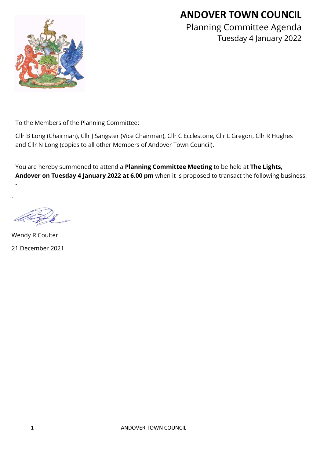# **ANDOVER TOWN COUNCIL**



Planning Committee Agenda Tuesday 4 January 2022

To the Members of the Planning Committee:

Cllr B Long (Chairman), Cllr J Sangster (Vice Chairman), Cllr C Ecclestone, Cllr L Gregori, Cllr R Hughes and Cllr N Long (copies to all other Members of Andover Town Council).

You are hereby summoned to attend a **Planning Committee Meeting** to be held at **The Lights, Andover on Tuesday 4 January 2022 at 6.00 pm** when it is proposed to transact the following business:

-

-

Wendy R Coulter 21 December 2021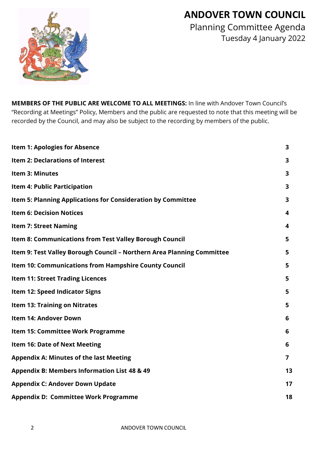# **ANDOVER TOWN COUNCIL**



Planning Committee Agenda Tuesday 4 January 2022

**MEMBERS OF THE PUBLIC ARE WELCOME TO ALL MEETINGS:** In line with Andover Town Council's "Recording at Meetings" Policy, Members and the public are requested to note that this meeting will be recorded by the Council, and may also be subject to the recording by members of the public.

| <b>Item 1: Apologies for Absence</b>                                   | 3                       |
|------------------------------------------------------------------------|-------------------------|
| <b>Item 2: Declarations of Interest</b>                                | 3                       |
| Item 3: Minutes                                                        | $\overline{\mathbf{3}}$ |
| Item 4: Public Participation                                           | 3                       |
| Item 5: Planning Applications for Consideration by Committee           | 3                       |
| <b>Item 6: Decision Notices</b>                                        | 4                       |
| <b>Item 7: Street Naming</b>                                           | 4                       |
| Item 8: Communications from Test Valley Borough Council                | 5                       |
| Item 9: Test Valley Borough Council - Northern Area Planning Committee | 5                       |
| <b>Item 10: Communications from Hampshire County Council</b>           | 5                       |
| <b>Item 11: Street Trading Licences</b>                                | 5                       |
| Item 12: Speed Indicator Signs                                         | 5                       |
| <b>Item 13: Training on Nitrates</b>                                   | 5                       |
| Item 14: Andover Down                                                  | 6                       |
| Item 15: Committee Work Programme                                      | 6                       |
| <b>Item 16: Date of Next Meeting</b>                                   | 6                       |
| <b>Appendix A: Minutes of the last Meeting</b>                         | 7                       |
| Appendix B: Members Information List 48 & 49                           | 13                      |
| <b>Appendix C: Andover Down Update</b>                                 | 17                      |
| <b>Appendix D: Committee Work Programme</b>                            | 18                      |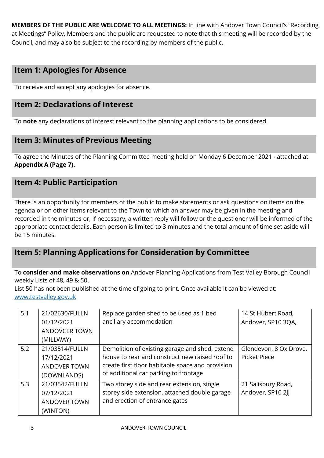**MEMBERS OF THE PUBLIC ARE WELCOME TO ALL MEETINGS:** In line with Andover Town Council's "Recording at Meetings" Policy, Members and the public are requested to note that this meeting will be recorded by the Council, and may also be subject to the recording by members of the public.

# **Item 1: Apologies for Absence**

To receive and accept any apologies for absence.

# **Item 2: Declarations of Interest**

To **note** any declarations of interest relevant to the planning applications to be considered.

# **Item 3: Minutes of Previous Meeting**

To agree the Minutes of the Planning Committee meeting held on Monday 6 December 2021 - attached at **Appendix A (Page 7).**

## **Item 4: Public Participation**

There is an opportunity for members of the public to make statements or ask questions on items on the agenda or on other items relevant to the Town to which an answer may be given in the meeting and recorded in the minutes or, if necessary, a written reply will follow or the questioner will be informed of the appropriate contact details. Each person is limited to 3 minutes and the total amount of time set aside will be 15 minutes.

# **Item 5: Planning Applications for Consideration by Committee**

To **consider and make observations on** Andover Planning Applications from Test Valley Borough Council weekly Lists of 48, 49 & 50.

List 50 has not been published at the time of going to print. Once available it can be viewed at: [www.testvalley.gov.uk](http://www.testvalley.gov.uk/)

| 5.1 | 21/02630/FULLN<br>01/12/2021<br><b>ANDOVCER TOWN</b>               | Replace garden shed to be used as 1 bed<br>ancillary accommodation                                                                                                                            | 14 St Hubert Road,<br>Andover, SP10 3QA,      |
|-----|--------------------------------------------------------------------|-----------------------------------------------------------------------------------------------------------------------------------------------------------------------------------------------|-----------------------------------------------|
|     | (MILLWAY)                                                          |                                                                                                                                                                                               |                                               |
| 5.2 | 21/03514/FULLN<br>17/12/2021<br><b>ANDOVER TOWN</b><br>(DOWNLANDS) | Demolition of existing garage and shed, extend<br>house to rear and construct new raised roof to<br>create first floor habitable space and provision<br>of additional car parking to frontage | Glendevon, 8 Ox Drove,<br><b>Picket Piece</b> |
| 5.3 | 21/03542/FULLN<br>07/12/2021<br><b>ANDOVER TOWN</b><br>(WINTON)    | Two storey side and rear extension, single<br>storey side extension, attached double garage<br>and erection of entrance gates                                                                 | 21 Salisbury Road,<br>Andover, SP10 2JJ       |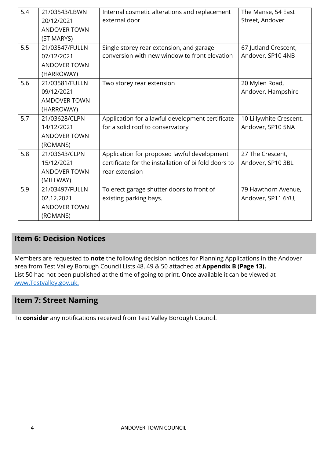| 5.4 | 21/03543/LBWN       | Internal cosmetic alterations and replacement        | The Manse, 54 East      |
|-----|---------------------|------------------------------------------------------|-------------------------|
|     | 20/12/2021          | external door                                        | Street, Andover         |
|     | <b>ANDOVER TOWN</b> |                                                      |                         |
|     | (ST MARYS)          |                                                      |                         |
| 5.5 | 21/03547/FULLN      | Single storey rear extension, and garage             | 67 Jutland Crescent,    |
|     | 07/12/2021          | conversion with new window to front elevation        | Andover, SP10 4NB       |
|     | <b>ANDOVER TOWN</b> |                                                      |                         |
|     | (HARROWAY)          |                                                      |                         |
| 5.6 | 21/03581/FULLN      | Two storey rear extension                            | 20 Mylen Road,          |
|     | 09/12/2021          |                                                      | Andover, Hampshire      |
|     | <b>AMDOVER TOWN</b> |                                                      |                         |
|     | (HARROWAY)          |                                                      |                         |
| 5.7 | 21/03628/CLPN       | Application for a lawful development certificate     | 10 Lillywhite Crescent, |
|     | 14/12/2021          | for a solid roof to conservatory                     | Andover, SP10 5NA       |
|     | <b>ANDOVER TOWN</b> |                                                      |                         |
|     | (ROMANS)            |                                                      |                         |
| 5.8 | 21/03643/CLPN       | Application for proposed lawful development          | 27 The Crescent,        |
|     | 15/12/2021          | certificate for the installation of bi fold doors to | Andover, SP10 3BL       |
|     | <b>ANDOVER TOWN</b> | rear extension                                       |                         |
|     | (MILLWAY)           |                                                      |                         |
| 5.9 | 21/03497/FULLN      | To erect garage shutter doors to front of            | 79 Hawthorn Avenue,     |
|     | 02.12.2021          | existing parking bays.                               | Andover, SP11 6YU,      |
|     | <b>ANDOVER TOWN</b> |                                                      |                         |
|     | (ROMANS)            |                                                      |                         |

# **Item 6: Decision Notices**

Members are requested to **note** the following decision notices for Planning Applications in the Andover area from Test Valley Borough Council Lists 48, 49 & 50 attached at **Appendix B (Page 13).**  List 50 had not been published at the time of going to print. Once available it can be viewed at [www.Testvalley.gov.uk.](http://www.testvalley.gov.uk/)

# **Item 7: Street Naming**

To **consider** any notifications received from Test Valley Borough Council.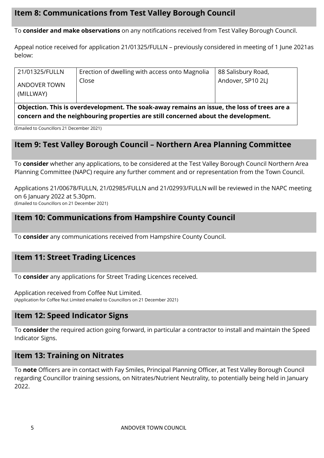# **Item 8: Communications from Test Valley Borough Council**

To **consider and make observations** on any notifications received from Test Valley Borough Council.

Appeal notice received for application 21/01325/FULLN – previously considered in meeting of 1 June 2021as below:

| 21/01325/FULLN                   | Erection of dwelling with access onto Magnolia | 88 Salisbury Road, |
|----------------------------------|------------------------------------------------|--------------------|
| <b>ANDOVER TOWN</b><br>(MILLWAY) | Close                                          | Andover, SP10 2LJ  |
| ----                             |                                                | . .                |

**Objection. This is overdevelopment. The soak-away remains an issue, the loss of trees are a concern and the neighbouring properties are still concerned about the development.** 

(Emailed to Councillors 21 December 2021)

# **Item 9: Test Valley Borough Council – Northern Area Planning Committee**

To **consider** whether any applications, to be considered at the Test Valley Borough Council Northern Area Planning Committee (NAPC) require any further comment and or representation from the Town Council.

Applications 21/00678/FULLN, 21/02985/FULLN and 21/02993/FULLN will be reviewed in the NAPC meeting on 6 January 2022 at 5.30pm. (Emailed to Councillors on 21 December 2021)

# **Item 10: Communications from Hampshire County Council**

To **consider** any communications received from Hampshire County Council.

# **Item 11: Street Trading Licences**

To **consider** any applications for Street Trading Licences received.

Application received from Coffee Nut Limited. (Application for Coffee Nut Limited emailed to Councillors on 21 December 2021)

# **Item 12: Speed Indicator Signs**

To **consider** the required action going forward, in particular a contractor to install and maintain the Speed Indicator Signs.

## **Item 13: Training on Nitrates**

To **note** Officers are in contact with Fay Smiles, Principal Planning Officer, at Test Valley Borough Council regarding Councillor training sessions, on Nitrates/Nutrient Neutrality, to potentially being held in January 2022.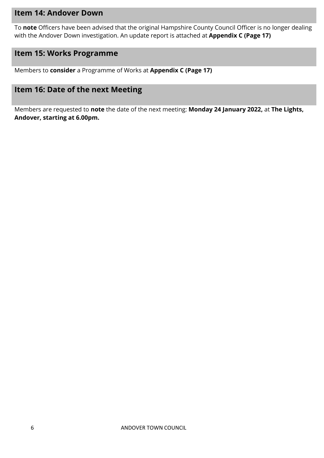#### **Item 14: Andover Down**

To **note** Officers have been advised that the original Hampshire County Council Officer is no longer dealing with the Andover Down investigation. An update report is attached at **Appendix C (Page 17)**

# **Item 15: Works Programme**

Members to **consider** a Programme of Works at **Appendix C (Page 17)**

## **Item 16: Date of the next Meeting**

Members are requested to **note** the date of the next meeting: **Monday 24 January 2022,** at **The Lights, Andover, starting at 6.00pm.**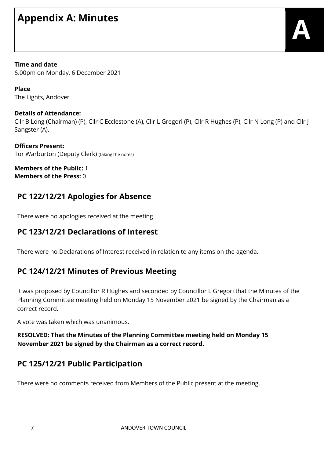# **Appendix A: Minutes**

**Time and date** 6.00pm on Monday, 6 December 2021

**Place** The Lights, Andover

#### **Details of Attendance:**

Cllr B Long (Chairman) (P), Cllr C Ecclestone (A), Cllr L Gregori (P), Cllr R Hughes (P), Cllr N Long (P) and Cllr J Sangster (A).

**Officers Present:** Tor Warburton (Deputy Clerk) (taking the notes)

**Members of the Public:** 1 **Members of the Press:** 0

# **PC 122/12/21 Apologies for Absence**

There were no apologies received at the meeting.

# **PC 123/12/21 Declarations of Interest**

There were no Declarations of Interest received in relation to any items on the agenda.

# **PC 124/12/21 Minutes of Previous Meeting**

It was proposed by Councillor R Hughes and seconded by Councillor L Gregori that the Minutes of the Planning Committee meeting held on Monday 15 November 2021 be signed by the Chairman as a correct record.

A vote was taken which was unanimous.

#### **RESOLVED: That the Minutes of the Planning Committee meeting held on Monday 15 November 2021 be signed by the Chairman as a correct record.**

# **PC 125/12/21 Public Participation**

There were no comments received from Members of the Public present at the meeting.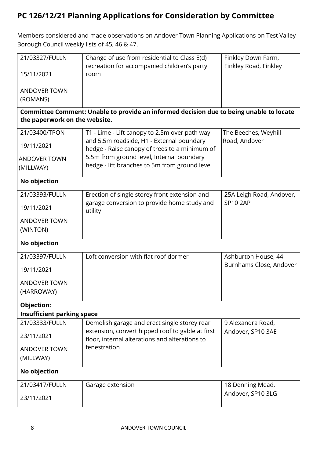# **PC 126/12/21 Planning Applications for Consideration by Committee**

Members considered and made observations on Andover Town Planning Applications on Test Valley Borough Council weekly lists of 45, 46 & 47.

| 21/03327/FULLN                    | Change of use from residential to Class E(d)                                                       | Finkley Down Farm,       |
|-----------------------------------|----------------------------------------------------------------------------------------------------|--------------------------|
| 15/11/2021                        | recreation for accompanied children's party<br>room                                                | Finkley Road, Finkley    |
|                                   |                                                                                                    |                          |
| <b>ANDOVER TOWN</b>               |                                                                                                    |                          |
| (ROMANS)                          |                                                                                                    |                          |
|                                   | Committee Comment: Unable to provide an informed decision due to being unable to locate            |                          |
| the paperwork on the website.     |                                                                                                    |                          |
| 21/03400/TPON                     | T1 - Lime - Lift canopy to 2.5m over path way                                                      | The Beeches, Weyhill     |
| 19/11/2021                        | and 5.5m roadside, H1 - External boundary<br>hedge - Raise canopy of trees to a minimum of         | Road, Andover            |
| <b>ANDOVER TOWN</b>               | 5.5m from ground level, Internal boundary                                                          |                          |
| (MILLWAY)                         | hedge - lift branches to 5m from ground level                                                      |                          |
| No objection                      |                                                                                                    |                          |
| 21/03393/FULLN                    | Erection of single storey front extension and                                                      | 25A Leigh Road, Andover, |
| 19/11/2021                        | garage conversion to provide home study and<br>utility                                             | <b>SP10 2AP</b>          |
| <b>ANDOVER TOWN</b>               |                                                                                                    |                          |
| (WINTON)                          |                                                                                                    |                          |
| No objection                      |                                                                                                    |                          |
| 21/03397/FULLN                    | Loft conversion with flat roof dormer                                                              | Ashburton House, 44      |
| 19/11/2021                        |                                                                                                    | Burnhams Close, Andover  |
| <b>ANDOVER TOWN</b>               |                                                                                                    |                          |
| (HARROWAY)                        |                                                                                                    |                          |
| Objection:                        |                                                                                                    |                          |
| <b>Insufficient parking space</b> |                                                                                                    |                          |
| 21/03333/FULLN                    | Demolish garage and erect single storey rear                                                       | 9 Alexandra Road,        |
| 23/11/2021                        | extension, convert hipped roof to gable at first<br>floor, internal alterations and alterations to | Andover, SP10 3AE        |
| <b>ANDOVER TOWN</b>               | fenestration                                                                                       |                          |
| (MILLWAY)                         |                                                                                                    |                          |
| No objection                      |                                                                                                    |                          |
| 21/03417/FULLN                    | Garage extension                                                                                   | 18 Denning Mead,         |
| 23/11/2021                        |                                                                                                    | Andover, SP10 3LG        |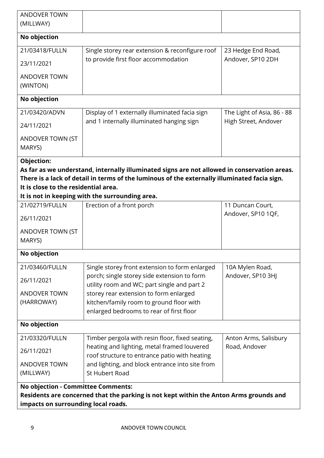| <b>ANDOVER TOWN</b><br>(MILLWAY)                                          |                                                                                                                                                                                                                                                 |                                        |
|---------------------------------------------------------------------------|-------------------------------------------------------------------------------------------------------------------------------------------------------------------------------------------------------------------------------------------------|----------------------------------------|
| No objection                                                              |                                                                                                                                                                                                                                                 |                                        |
| 21/03418/FULLN                                                            | Single storey rear extension & reconfigure roof                                                                                                                                                                                                 | 23 Hedge End Road,                     |
| 23/11/2021                                                                | to provide first floor accommodation                                                                                                                                                                                                            | Andover, SP10 2DH                      |
| <b>ANDOVER TOWN</b><br>(WINTON)                                           |                                                                                                                                                                                                                                                 |                                        |
| No objection                                                              |                                                                                                                                                                                                                                                 |                                        |
| 21/03420/ADVN                                                             | Display of 1 externally illuminated facia sign                                                                                                                                                                                                  | The Light of Asia, 86 - 88             |
| 24/11/2021                                                                | and 1 internally illuminated hanging sign                                                                                                                                                                                                       | High Street, Andover                   |
| ANDOVER TOWN (ST                                                          |                                                                                                                                                                                                                                                 |                                        |
| MARYS)                                                                    |                                                                                                                                                                                                                                                 |                                        |
| Objection:                                                                |                                                                                                                                                                                                                                                 |                                        |
| It is close to the residential area.                                      | As far as we understand, internally illuminated signs are not allowed in conservation areas.<br>There is a lack of detail in terms of the luminous of the externally illuminated facia sign.<br>It is not in keeping with the surrounding area. |                                        |
| 21/02719/FULLN                                                            | Erection of a front porch                                                                                                                                                                                                                       | 11 Duncan Court,                       |
| 26/11/2021                                                                |                                                                                                                                                                                                                                                 | Andover, SP10 1QF,                     |
| ANDOVER TOWN (ST<br>MARYS)                                                |                                                                                                                                                                                                                                                 |                                        |
| No objection                                                              |                                                                                                                                                                                                                                                 |                                        |
| 21/03460/FULLN                                                            | Single storey front extension to form enlarged                                                                                                                                                                                                  | 10A Mylen Road,                        |
| 26/11/2021                                                                | porch; single storey side extension to form<br>utility room and WC; part single and part 2                                                                                                                                                      | Andover, SP10 3HJ                      |
| <b>ANDOVER TOWN</b>                                                       | storey rear extension to form enlarged                                                                                                                                                                                                          |                                        |
| (HARROWAY)                                                                | kitchen/family room to ground floor with<br>enlarged bedrooms to rear of first floor                                                                                                                                                            |                                        |
| No objection                                                              |                                                                                                                                                                                                                                                 |                                        |
|                                                                           |                                                                                                                                                                                                                                                 |                                        |
| 21/03320/FULLN<br>26/11/2021                                              | Timber pergola with resin floor, fixed seating,<br>heating and lighting, metal framed louvered<br>roof structure to entrance patio with heating                                                                                                 | Anton Arms, Salisbury<br>Road, Andover |
| <b>ANDOVER TOWN</b>                                                       | and lighting, and block entrance into site from                                                                                                                                                                                                 |                                        |
| (MILLWAY)                                                                 | <b>St Hubert Road</b>                                                                                                                                                                                                                           |                                        |
| No objection - Committee Comments:<br>impacts on surrounding local roads. | Residents are concerned that the parking is not kept within the Anton Arms grounds and                                                                                                                                                          |                                        |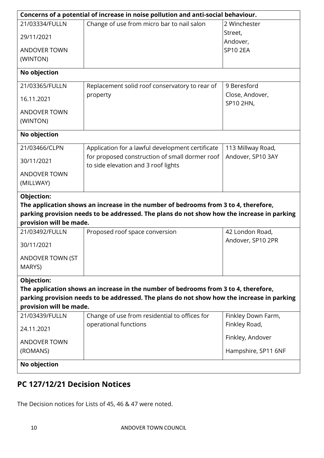| Concerns of a potential of increase in noise pollution and anti-social behaviour. |                                                                                            |                     |  |  |  |  |
|-----------------------------------------------------------------------------------|--------------------------------------------------------------------------------------------|---------------------|--|--|--|--|
| 21/03334/FULLN                                                                    | Change of use from micro bar to nail salon                                                 | 2 Winchester        |  |  |  |  |
| 29/11/2021                                                                        |                                                                                            | Street,             |  |  |  |  |
|                                                                                   |                                                                                            | Andover,            |  |  |  |  |
| <b>ANDOVER TOWN</b>                                                               |                                                                                            | <b>SP10 2EA</b>     |  |  |  |  |
| (WINTON)                                                                          |                                                                                            |                     |  |  |  |  |
| No objection                                                                      |                                                                                            |                     |  |  |  |  |
| 21/03365/FULLN                                                                    | Replacement solid roof conservatory to rear of                                             | 9 Beresford         |  |  |  |  |
| 16.11.2021                                                                        | property                                                                                   | Close, Andover,     |  |  |  |  |
|                                                                                   |                                                                                            | SP10 2HN,           |  |  |  |  |
| <b>ANDOVER TOWN</b>                                                               |                                                                                            |                     |  |  |  |  |
| (WINTON)                                                                          |                                                                                            |                     |  |  |  |  |
| No objection                                                                      |                                                                                            |                     |  |  |  |  |
| 21/03466/CLPN                                                                     | Application for a lawful development certificate                                           | 113 Millway Road,   |  |  |  |  |
| 30/11/2021                                                                        | for proposed construction of small dormer roof<br>to side elevation and 3 roof lights      | Andover, SP10 3AY   |  |  |  |  |
| <b>ANDOVER TOWN</b>                                                               |                                                                                            |                     |  |  |  |  |
| (MILLWAY)                                                                         |                                                                                            |                     |  |  |  |  |
| Objection:                                                                        |                                                                                            |                     |  |  |  |  |
|                                                                                   | The application shows an increase in the number of bedrooms from 3 to 4, therefore,        |                     |  |  |  |  |
|                                                                                   | parking provision needs to be addressed. The plans do not show how the increase in parking |                     |  |  |  |  |
| provision will be made.                                                           |                                                                                            |                     |  |  |  |  |
| 21/03492/FULLN                                                                    | Proposed roof space conversion                                                             | 42 London Road,     |  |  |  |  |
| 30/11/2021                                                                        |                                                                                            | Andover, SP10 2PR   |  |  |  |  |
| ANDOVER TOWN (ST                                                                  |                                                                                            |                     |  |  |  |  |
| MARYS)                                                                            |                                                                                            |                     |  |  |  |  |
| Objection:                                                                        |                                                                                            |                     |  |  |  |  |
|                                                                                   | The application shows an increase in the number of bedrooms from 3 to 4, therefore,        |                     |  |  |  |  |
|                                                                                   | parking provision needs to be addressed. The plans do not show how the increase in parking |                     |  |  |  |  |
| provision will be made.                                                           |                                                                                            |                     |  |  |  |  |
| 21/03439/FULLN                                                                    | Change of use from residential to offices for                                              | Finkley Down Farm,  |  |  |  |  |
| 24.11.2021                                                                        | operational functions                                                                      | Finkley Road,       |  |  |  |  |
| <b>ANDOVER TOWN</b>                                                               |                                                                                            | Finkley, Andover    |  |  |  |  |
| (ROMANS)                                                                          |                                                                                            | Hampshire, SP11 6NF |  |  |  |  |
| No objection                                                                      |                                                                                            |                     |  |  |  |  |

# **PC 127/12/21 Decision Notices**

The Decision notices for Lists of 45, 46 & 47 were noted.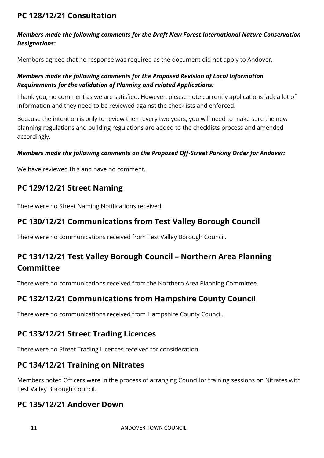# **PC 128/12/21 Consultation**

#### *Members made the following comments for the Draft New Forest International Nature Conservation Designations:*

Members agreed that no response was required as the document did not apply to Andover.

#### *Members made the following comments for the Proposed Revision of Local Information Requirements for the validation of Planning and related Applications:*

Thank you, no comment as we are satisfied. However, please note currently applications lack a lot of information and they need to be reviewed against the checklists and enforced.

Because the intention is only to review them every two years, you will need to make sure the new planning regulations and building regulations are added to the checklists process and amended accordingly.

#### *Members made the following comments on the Proposed Off-Street Parking Order for Andover:*

We have reviewed this and have no comment.

# **PC 129/12/21 Street Naming**

There were no Street Naming Notifications received.

# **PC 130/12/21 Communications from Test Valley Borough Council**

There were no communications received from Test Valley Borough Council.

# **PC 131/12/21 Test Valley Borough Council – Northern Area Planning Committee**

There were no communications received from the Northern Area Planning Committee.

# **PC 132/12/21 Communications from Hampshire County Council**

There were no communications received from Hampshire County Council.

# **PC 133/12/21 Street Trading Licences**

There were no Street Trading Licences received for consideration.

# **PC 134/12/21 Training on Nitrates**

Members noted Officers were in the process of arranging Councillor training sessions on Nitrates with Test Valley Borough Council.

# **PC 135/12/21 Andover Down**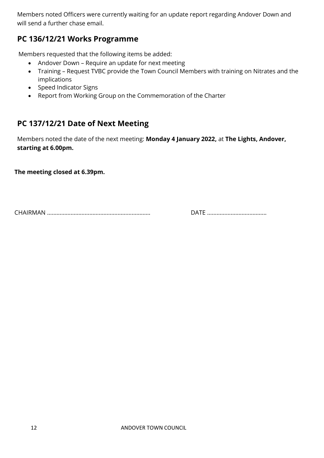Members noted Officers were currently waiting for an update report regarding Andover Down and will send a further chase email.

# **PC 136/12/21 Works Programme**

Members requested that the following items be added:

- Andover Down Require an update for next meeting
- Training Request TVBC provide the Town Council Members with training on Nitrates and the implications
- Speed Indicator Signs
- Report from Working Group on the Commemoration of the Charter

# **PC 137/12/21 Date of Next Meeting**

Members noted the date of the next meeting: **Monday 4 January 2022,** at **The Lights, Andover, starting at 6.00pm.**

**The meeting closed at 6.39pm.**

CHAIRMAN ………………………………………………………… DATE ………………………………..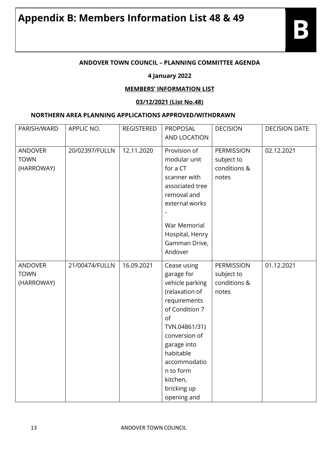#### **ANDOVER TOWN COUNCIL – PLANNING COMMITTEE AGENDA**

#### **4 January 2022**

#### **MEMBERS' INFORMATION LIST**

#### **03/12/2021 (List No.48)**

#### **NORTHERN AREA PLANNING APPLICATIONS APPROVED/WITHDRAWN**

| PARISH/WARD    | APPLIC NO.     | <b>REGISTERED</b> | PROPOSAL        | <b>DECISION</b>   | <b>DECISION DATE</b> |
|----------------|----------------|-------------------|-----------------|-------------------|----------------------|
|                |                |                   | AND LOCATION    |                   |                      |
| <b>ANDOVER</b> | 20/02397/FULLN | 12.11.2020        | Provision of    | <b>PERMISSION</b> | 02.12.2021           |
| <b>TOWN</b>    |                |                   | modular unit    | subject to        |                      |
| (HARROWAY)     |                |                   | for a CT        | conditions &      |                      |
|                |                |                   | scanner with    | notes             |                      |
|                |                |                   | associated tree |                   |                      |
|                |                |                   | removal and     |                   |                      |
|                |                |                   | external works  |                   |                      |
|                |                |                   |                 |                   |                      |
|                |                |                   | War Memorial    |                   |                      |
|                |                |                   | Hospital, Henry |                   |                      |
|                |                |                   | Gamman Drive,   |                   |                      |
|                |                |                   | Andover         |                   |                      |
| <b>ANDOVER</b> | 21/00474/FULLN | 16.09.2021        | Cease using     | PERMISSION        | 01.12.2021           |
| <b>TOWN</b>    |                |                   | garage for      | subject to        |                      |
| (HARROWAY)     |                |                   | vehicle parking | conditions &      |                      |
|                |                |                   | (relaxation of  | notes             |                      |
|                |                |                   | requirements    |                   |                      |
|                |                |                   | of Condition 7  |                   |                      |
|                |                |                   | of              |                   |                      |
|                |                |                   | TVN.04861/31)   |                   |                      |
|                |                |                   | conversion of   |                   |                      |
|                |                |                   | garage into     |                   |                      |
|                |                |                   | habitable       |                   |                      |
|                |                |                   | accommodatio    |                   |                      |
|                |                |                   | n to form       |                   |                      |
|                |                |                   | kitchen,        |                   |                      |
|                |                |                   | bricking up     |                   |                      |
|                |                |                   | opening and     |                   |                      |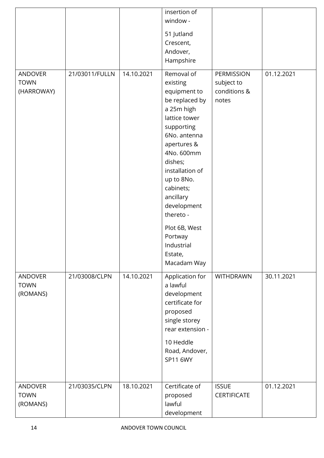|                                             |                |            | insertion of<br>window -                                                                                                                                                                                                                                                                                                 |                                                   |            |
|---------------------------------------------|----------------|------------|--------------------------------------------------------------------------------------------------------------------------------------------------------------------------------------------------------------------------------------------------------------------------------------------------------------------------|---------------------------------------------------|------------|
|                                             |                |            | 51 Jutland<br>Crescent,<br>Andover,<br>Hampshire                                                                                                                                                                                                                                                                         |                                                   |            |
| <b>ANDOVER</b><br><b>TOWN</b><br>(HARROWAY) | 21/03011/FULLN | 14.10.2021 | Removal of<br>existing<br>equipment to<br>be replaced by<br>a 25m high<br>lattice tower<br>supporting<br>6No. antenna<br>apertures &<br>4No. 600mm<br>dishes;<br>installation of<br>up to 8No.<br>cabinets;<br>ancillary<br>development<br>thereto -<br>Plot 6B, West<br>Portway<br>Industrial<br>Estate,<br>Macadam Way | PERMISSION<br>subject to<br>conditions &<br>notes | 01.12.2021 |
| <b>ANDOVER</b><br><b>TOWN</b><br>(ROMANS)   | 21/03008/CLPN  | 14.10.2021 | Application for<br>a lawful<br>development<br>certificate for<br>proposed<br>single storey<br>rear extension -<br>10 Heddle<br>Road, Andover,<br>SP11 6WY                                                                                                                                                                | <b>WITHDRAWN</b>                                  | 30.11.2021 |
| <b>ANDOVER</b><br><b>TOWN</b><br>(ROMANS)   | 21/03035/CLPN  | 18.10.2021 | Certificate of<br>proposed<br>lawful<br>development                                                                                                                                                                                                                                                                      | <b>ISSUE</b><br><b>CERTIFICATE</b>                | 01.12.2021 |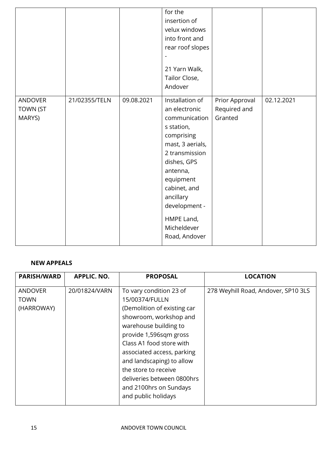|                                      |               |            | for the<br>insertion of<br>velux windows<br>into front and<br>rear roof slopes<br>21 Yarn Walk,<br>Tailor Close,<br>Andover                                                                                                                             |                                           |            |
|--------------------------------------|---------------|------------|---------------------------------------------------------------------------------------------------------------------------------------------------------------------------------------------------------------------------------------------------------|-------------------------------------------|------------|
| ANDOVER<br><b>TOWN (ST</b><br>MARYS) | 21/02355/TELN | 09.08.2021 | Installation of<br>an electronic<br>communication<br>s station,<br>comprising<br>mast, 3 aerials,<br>2 transmission<br>dishes, GPS<br>antenna,<br>equipment<br>cabinet, and<br>ancillary<br>development -<br>HMPE Land,<br>Micheldever<br>Road, Andover | Prior Approval<br>Required and<br>Granted | 02.12.2021 |

#### **NEW APPEALS**

| <b>PARISH/WARD</b> | <b>APPLIC. NO.</b> | <b>PROPOSAL</b>             | <b>LOCATION</b>                     |
|--------------------|--------------------|-----------------------------|-------------------------------------|
| <b>ANDOVER</b>     | 20/01824/VARN      | To vary condition 23 of     | 278 Weyhill Road, Andover, SP10 3LS |
| <b>TOWN</b>        |                    | 15/00374/FULLN              |                                     |
| (HARROWAY)         |                    | (Demolition of existing car |                                     |
|                    |                    | showroom, workshop and      |                                     |
|                    |                    | warehouse building to       |                                     |
|                    |                    | provide 1,596sqm gross      |                                     |
|                    |                    | Class A1 food store with    |                                     |
|                    |                    | associated access, parking  |                                     |
|                    |                    | and landscaping) to allow   |                                     |
|                    |                    | the store to receive        |                                     |
|                    |                    | deliveries between 0800hrs  |                                     |
|                    |                    | and 2100hrs on Sundays      |                                     |
|                    |                    | and public holidays         |                                     |
|                    |                    |                             |                                     |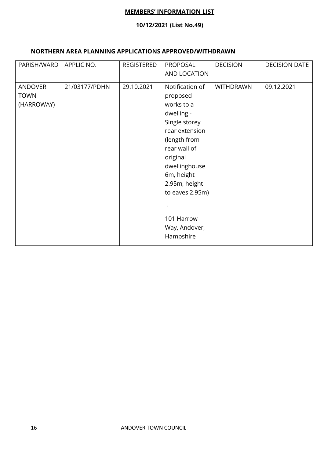#### **MEMBERS' INFORMATION LIST**

#### **10/12/2021 (List No.49)**

#### **NORTHERN AREA PLANNING APPLICATIONS APPROVED/WITHDRAWN**

| PARISH/WARD                                 | APPLIC NO.    | <b>REGISTERED</b> | PROPOSAL<br>AND LOCATION                                                                                                                                                                                                                              | <b>DECISION</b>  | <b>DECISION DATE</b> |
|---------------------------------------------|---------------|-------------------|-------------------------------------------------------------------------------------------------------------------------------------------------------------------------------------------------------------------------------------------------------|------------------|----------------------|
| <b>ANDOVER</b><br><b>TOWN</b><br>(HARROWAY) | 21/03177/PDHN | 29.10.2021        | Notification of<br>proposed<br>works to a<br>dwelling -<br>Single storey<br>rear extension<br>(length from<br>rear wall of<br>original<br>dwellinghouse<br>6m, height<br>2.95m, height<br>to eaves 2.95m)<br>101 Harrow<br>Way, Andover,<br>Hampshire | <b>WITHDRAWN</b> | 09.12.2021           |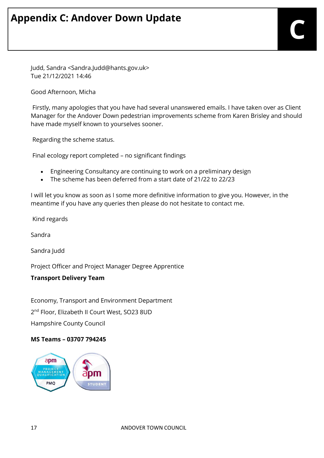Judd, Sandra <Sandra.Judd@hants.gov.uk> Tue 21/12/2021 14:46

Good Afternoon, Micha

 Firstly, many apologies that you have had several unanswered emails. I have taken over as Client Manager for the Andover Down pedestrian improvements scheme from Karen Brisley and should have made myself known to yourselves sooner.

Regarding the scheme status.

Final ecology report completed – no significant findings

- Engineering Consultancy are continuing to work on a preliminary design
- The scheme has been deferred from a start date of 21/22 to 22/23

I will let you know as soon as I some more definitive information to give you. However, in the meantime if you have any queries then please do not hesitate to contact me.

Kind regards

Sandra

Sandra Judd

Project Officer and Project Manager Degree Apprentice

#### **Transport Delivery Team**

Economy, Transport and Environment Department 2<sup>nd</sup> Floor, Elizabeth II Court West, SO23 8UD Hampshire County Council

#### **MS Teams – 03707 794245**